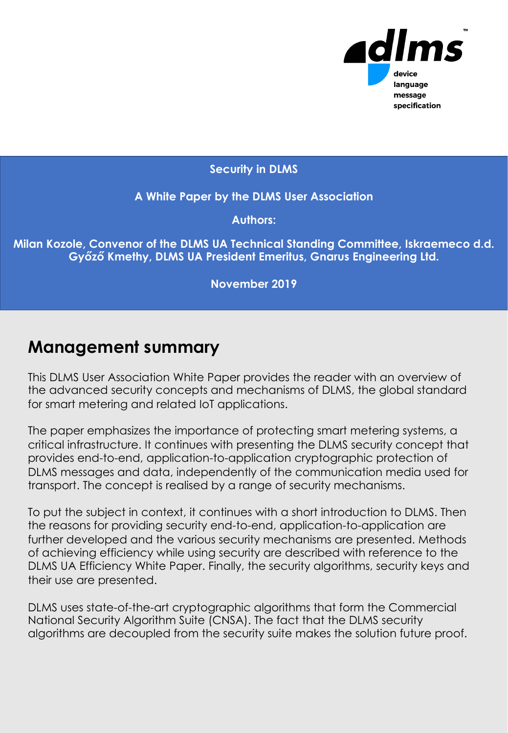

#### **Security in DLMS**

**A White Paper by the DLMS User Association**

**Authors:**

**Milan Kozole, Convenor of the DLMS UA Technical Standing Committee, Iskraemeco d.d. Győző Kmethy, DLMS UA President Emeritus, Gnarus Engineering Ltd.**

**November 2019**

## **Management summary**

This DLMS User Association White Paper provides the reader with an overview of the advanced security concepts and mechanisms of DLMS, the global standard for smart metering and related IoT applications.

The paper emphasizes the importance of protecting smart metering systems, a critical infrastructure. It continues with presenting the DLMS security concept that provides end-to-end, application-to-application cryptographic protection of DLMS messages and data, independently of the communication media used for transport. The concept is realised by a range of security mechanisms.

To put the subject in context, it continues with a short introduction to DLMS. Then the reasons for providing security end-to-end, application-to-application are further developed and the various security mechanisms are presented. Methods of achieving efficiency while using security are described with reference to the DLMS UA Efficiency White Paper. Finally, the security algorithms, security keys and their use are presented.

DLMS uses state-of-the-art cryptographic algorithms that form the Commercial National Security Algorithm Suite (CNSA). The fact that the DLMS security algorithms are decoupled from the security suite makes the solution future proof.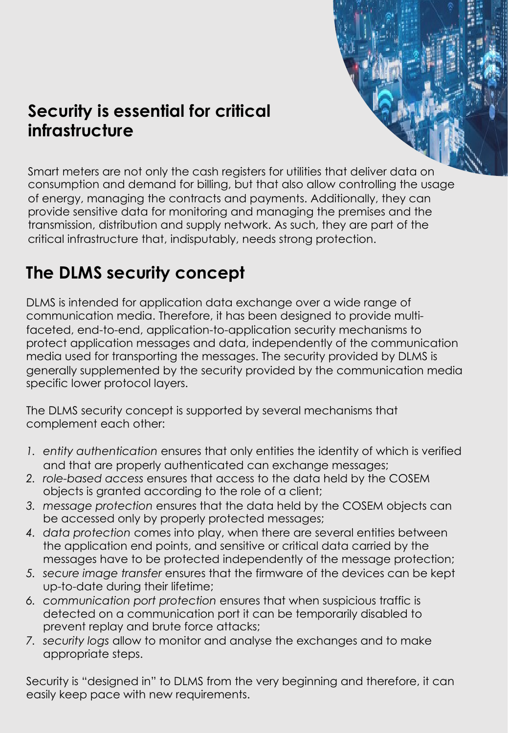## **Security is essential for critical infrastructure**

Smart meters are not only the cash registers for utilities that deliver data on consumption and demand for billing, but that also allow controlling the usage of energy, managing the contracts and payments. Additionally, they can provide sensitive data for monitoring and managing the premises and the transmission, distribution and supply network. As such, they are part of the critical infrastructure that, indisputably, needs strong protection.

# **The DLMS security concept**

DLMS is intended for application data exchange over a wide range of communication media. Therefore, it has been designed to provide multifaceted, end-to-end, application-to-application security mechanisms to protect application messages and data, independently of the communication media used for transporting the messages. The security provided by DLMS is generally supplemented by the security provided by the communication media specific lower protocol layers.

The DLMS security concept is supported by several mechanisms that **Against the december of dependicular of the services of the services of services**  $\mathbf{A}$  $\blacksquare$  Complement each other:

- 1. *entity authentication* ensures that only entities the identity of which is verified and that are properly authenticated can exchange messages;
- *2. role-based access* ensures that access to the data held by the COSEM objects is granted according to the role of a client;
- *3. message protection* ensures that the data held by the COSEM objects can be accessed only by properly protected messages;
- *4. data protection* comes into play, when there are several entities between the application end points, and sensitive or critical data carried by the messages have to be protected independently of the message protection;
- *5. secure image transfer* ensures that the firmware of the devices can be kept up-to-date during their lifetime;
- *6. communication port protection* ensures that when suspicious traffic is detected on a communication port it can be temporarily disabled to prevent replay and brute force attacks;
- *7. security logs* allow to monitor and analyse the exchanges and to make appropriate steps.

Security is "designed in" to DLMS from the very beginning and therefore, it can easily keep pace with new requirements.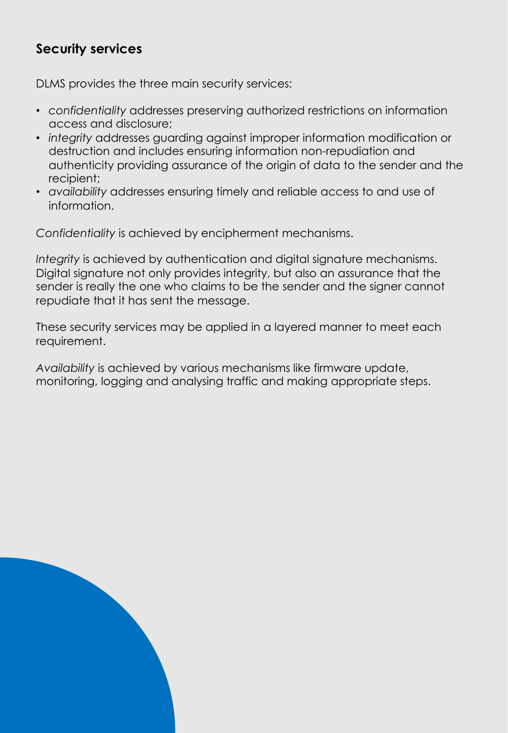### **Security services**

DLMS provides the three main security services:

- *confidentiality* addresses preserving authorized restrictions on information access and disclosure;
- *integrity* addresses guarding against improper information modification or destruction and includes ensuring information non-repudiation and authenticity providing assurance of the origin of data to the sender and the recipient;
- *availability* addresses ensuring timely and reliable access to and use of information.

*Confidentiality* is achieved by encipherment mechanisms.

*Integrity* is achieved by authentication and digital signature mechanisms. Digital signature not only provides integrity, but also an assurance that the sender is really the one who claims to be the sender and the signer cannot repudiate that it has sent the message.

These security services may be applied in a layered manner to meet each requirement.

*Availability* is achieved by various mechanisms like firmware update, monitoring, logging and analysing traffic and making appropriate steps.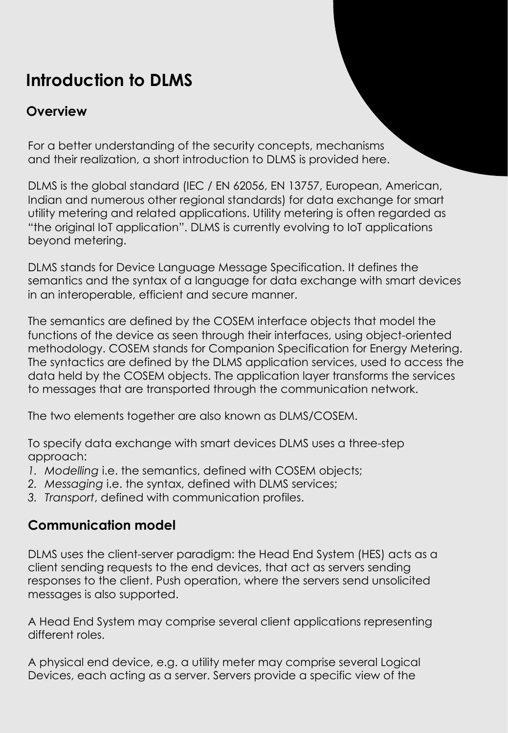# **Introduction to DLMS**

### **Overview**

For a better understanding of the security concepts, mechanisms and their realization, a short introduction to DLMS is provided here.

DLMS is the global standard (IEC / EN 62056, EN 13757, European, American, Indian and numerous other regional standards) for data exchange for smart utility metering and related applications. Utility metering is often regarded as "the original IoT application". DLMS is currently evolving to IoT applications beyond metering.

DLMS stands for Device Language Message Specification. It defines the semantics and the syntax of a language for data exchange with smart devices in an interoperable, efficient and secure manner.

**On the COSEM objet model level On the DLMS application layer messaging level** to messages that are transported through the communication network. The semantics are defined by the COSEM interface objects that model the functions of the device as seen through their interfaces, using object-oriented methodology. COSEM stands for Companion Specification for Energy Metering. The syntactics are defined by the DLMS application services, used to access the data held by the COSEM objects. The application layer transforms the services

The two elements together are also known as DLMS/COSEM.

**Null-data compression** Pre-established and persistent Application Associations **Compact array encoding** Push operation To specify data exchange with smart devices DLMS uses a three-step approach:

- **Compact data** Broadcasting and multicasting *1. Modelling* i.e. the semantics, defined with COSEM objects;
- *2. Messaging* i.e. the syntax, defined with DLMS services;
- *3. Transport*, defined with communication profiles.

#### **Communication model**

DLMS uses the client-server paradigm: the Head End System (HES) acts as a client sending requests to the end devices, that act as servers sending responses to the client. Push operation, where the servers send unsolicited messages is also supported.

A Head End System may comprise several client applications representing different roles.

A physical end device, e.g. a utility meter may comprise several Logical Devices, each acting as a server. Servers provide a specific view of the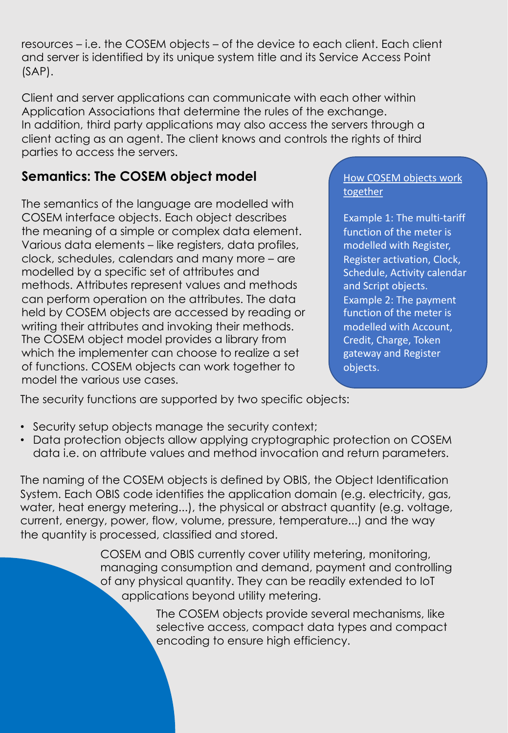resources – i.e. the COSEM objects – of the device to each client. Each client and server is identified by its unique system title and its Service Access Point (SAP).

Client and server applications can communicate with each other within Application Associations that determine the rules of the exchange. In addition, third party applications may also access the servers through a client acting as an agent. The client knows and controls the rights of third parties to access the servers.

## **Semantics: The COSEM object model**

The semantics of the language are modelled with COSEM interface objects. Each object describes the meaning of a simple or complex data element. Various data elements – like registers, data profiles, clock, schedules, calendars and many more – are modelled by a specific set of attributes and methods. Attributes represent values and methods can perform operation on the attributes. The data held by COSEM objects are accessed by reading or writing their attributes and invoking their methods. The COSEM object model provides a library from which the implementer can choose to realize a set of functions. COSEM objects can work together to model the various use cases.

How COSEM objects work together

Example 1: The multi-tariff function of the meter is modelled with Register, Register activation, Clock, Schedule, Activity calendar and Script objects. Example 2: The payment function of the meter is modelled with Account, Credit, Charge, Token gateway and Register objects.

The security functions are supported by two specific objects: **Separation of data and metadata**

- **Aggregation of data** Aggregation of services • Security setup objects manage the security context;
- Data protection objects allow applying cryptographic protection on COSEM data i.e. on attribute values and method invocation and return parameters.

The naming of the COSEM objects is defined by OBIS, the Object Identification System. Each OBIS code identifies the application domain (e.g. electricity, gas, water, heat energy metering...), the physical or abstract quantity (e.g. voltage, current, energy, power, flow, volume, pressure, temperature...) and the way the quantity is processed, classified and stored.

> COSEM and OBIS currently cover utility metering, monitoring, managing consumption and demand, payment and controlling of any physical quantity. They can be readily extended to IoT applications beyond utility metering.

> > The COSEM objects provide several mechanisms, like selective access, compact data types and compact encoding to ensure high efficiency.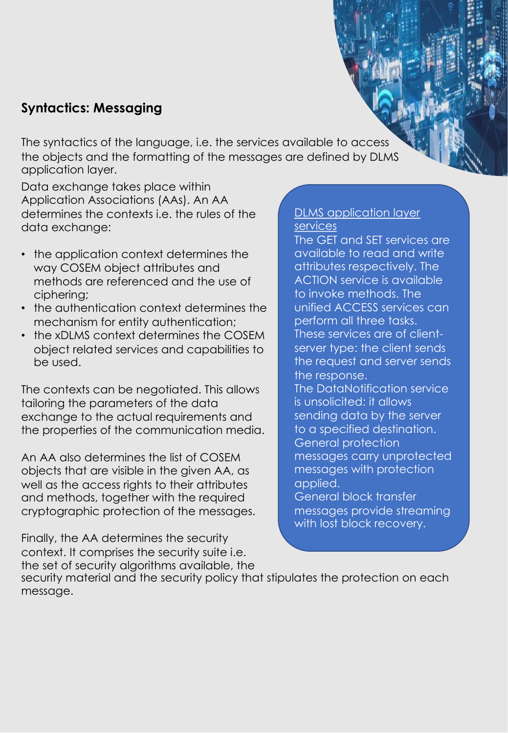#### **Syntactics: Messaging**

The syntactics of the language, i.e. the services available to access the objects and the formatting of the messages are defined by DLMS application layer.

Data exchange takes place within Application Associations (AAs). An AA determines the contexts i.e. the rules of the data exchange:

- the application context determines the way COSEM object attributes and methods are referenced and the use of ciphering;
- the authentication context determines the mechanism for entity authentication;
- the xDLMS context determines the COSEM object related services and capabilities to be used.

the properties of the communication media. **I** to a specified destination. The contexts can be negotiated. This allows tailoring the parameters of the data exchange to the actual requirements and

An AA also determines the list of COSEM **COSEM** Ressage objects that are visible in the given AA, as **the accomposed of the sympally of the sympally Null-data compression** Pre-established and persistent Application Associations well as the access rights to their attributes **Party Company** and methods, together with the required **Communisty Communisty** General blow cryptographic protection of the messages.

Finally, the AA determines the security context. It comprises the security suite i.e. the set of security algorithms available, the

#### DLMS application layer services

The GET and SET services are available to read and write attributes respectively. The ACTION service is available to invoke methods. The unified ACCESS services can perform all three tasks. These services are of clientserver type: the client sends the request and server sends the response. The DataNotification service is unsolicited: it allows sending data by the server to a specified destination. General protection messages carry unprotected messages with protection applied. General block transfer messages provide streaming with lost block recovery.

security material and the security policy that stipulates the protection on each message.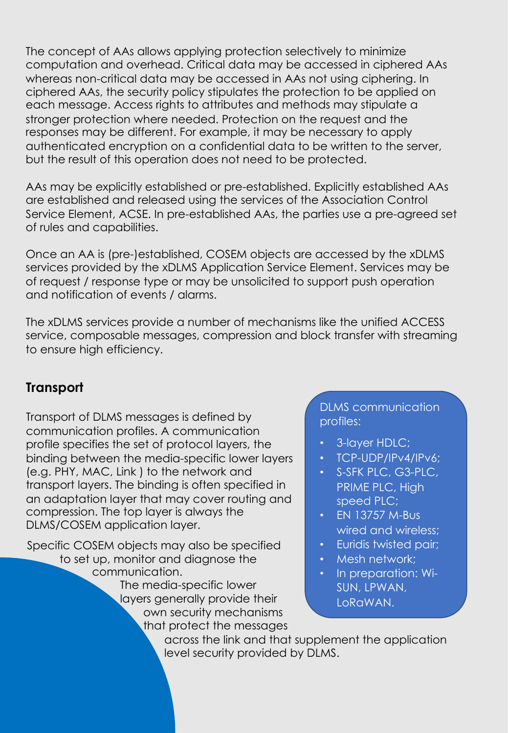The concept of AAs allows applying protection selectively to minimize computation and overhead. Critical data may be accessed in ciphered AAs whereas non-critical data may be accessed in AAs not using ciphering. In ciphered AAs, the security policy stipulates the protection to be applied on each message. Access rights to attributes and methods may stipulate a stronger protection where needed. Protection on the request and the responses may be different. For example, it may be necessary to apply authenticated encryption on a confidential data to be written to the server, but the result of this operation does not need to be protected.

AAs may be explicitly established or pre-established. Explicitly established AAs are established and released using the services of the Association Control Service Element, ACSE. In pre-established AAs, the parties use a pre-agreed set of rules and capabilities.

Once an AA is (pre-)established, COSEM objects are accessed by the xDLMS services provided by the xDLMS Application Service Element. Services may be of request / response type or may be unsolicited to support push operation and notification of events / alarms.

The xDLMS services provide a number of mechanisms like the unified ACCESS service, composable messages, compression and block transfer with streaming to ensure high efficiency.

#### **Separation of data and metadata Transport Aggregation of data** Aggregation of services

Transport of DLMS messages is defined by **Application Application Applications** communication profiles. A communication **Comments and multiple multiple and multiple specifies the set of protocol layers, the computer 3-lay** binding between the media-specific lower layers (e.g. PHY, MAC, Link ) to the network and transport layers. The binding is often specified in an adaptation layer that may cover routing and compression. The top layer is always the DLMS/COSEM application layer.

The media-specific lower layers generally provide their Specific COSEM objects may also be specified to set up, monitor and diagnose the communication. own security mechanisms

that protect the messages

#### **Selective access** Composable messages DLMS communication profiles:

- 3-layer HDLC;
- TCP-UDP/IPv4/IPv6;
- S-SFK PLC, G3-PLC, PRIME PLC, High speed PLC;
- EN 13757 M-Bus wired and wireless;
- Euridis twisted pair;
- Mesh network;
- In preparation: Wi-SUN, LPWAN, LoRaWAN.

across the link and that supplement the application level security provided by DLMS.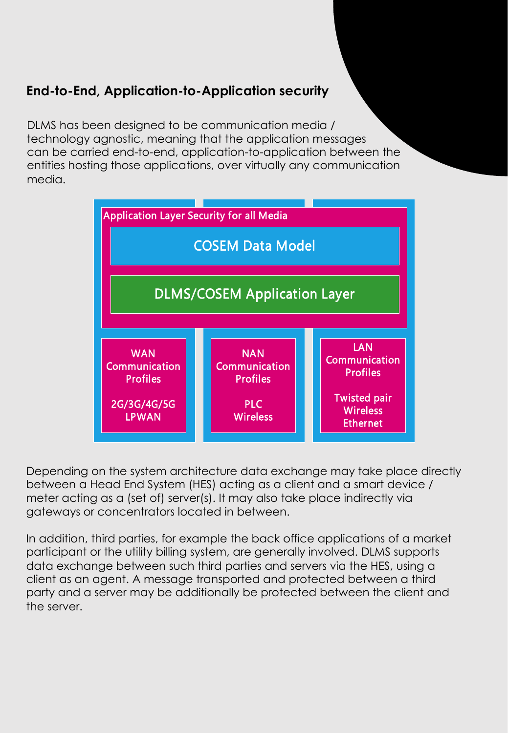### **End-to-End, Application-to-Application security**

DLMS has been designed to be communication media / technology agnostic, meaning that the application messages can be carried end-to-end, application-to-application between the entities hosting those applications, over virtually any communication media.



Depending on the system architecture data exchange may take place directly between a Head End System (HES) acting as a client and a smart device / meter acting as a (set of) server(s). It may also take place indirectly via gateways or concentrators located in between.

In addition, third parties, for example the back office applications of a market participant or the utility billing system, are generally involved. DLMS supports data exchange between such third parties and servers via the HES, using a client as an agent. A message transported and protected between a third party and a server may be additionally be protected between the client and the server.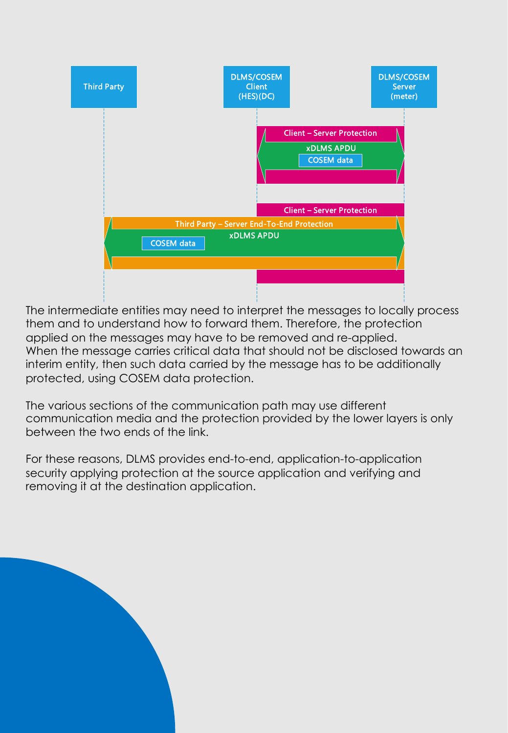

interim entity, then such data carried by the message has to be additionally **Separation of data and metadata** protected, using COSEM data protection. The intermediate entities may need to interpret the messages to locally process them and to understand how to forward them. Therefore, the protection applied on the messages may have to be removed and re-applied. When the message carries critical data that should not be disclosed towards an

The various sections of the communication path may use different communication media and the protection provided by the lower layers is only **Compact array between the two ends of the link. Compact data Broadcasting and multi**casting and multicasting and multicasting and multicasting and multicasting and multicasting and multicasting and multicasting and multicasting and multicasting and multicasting and mul

For these reasons, DLMS provides end-to-end, application-to-application security applying protection at the source application and verifying and removing it at the destination application.

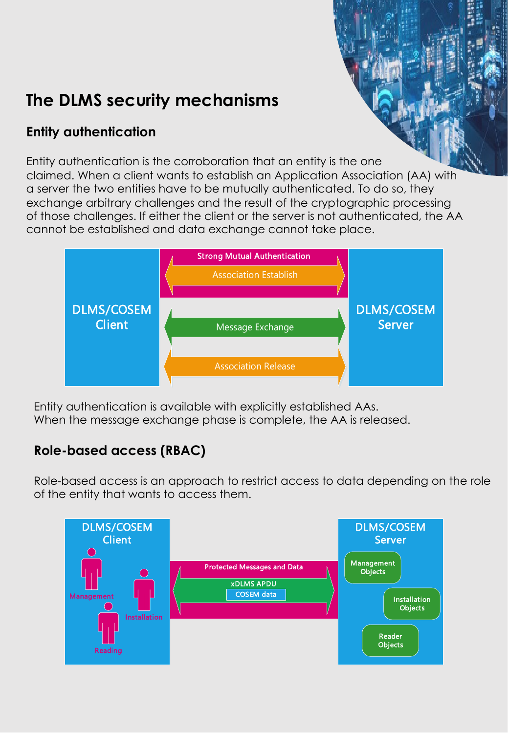# **The DLMS security mechanisms**

## **Entity authentication**

Entity authentication is the corroboration that an entity is the one claimed. When a client wants to establish an Application Association (AA) with a server the two entities have to be mutually authenticated. To do so, they exchange arbitrary challenges and the result of the cryptographic processing of those challenges. If either the client or the server is not authenticated, the AA cannot be established and data exchange cannot take place.



Entity authentication is available with explicitly established AAs. When the message exchange phase is complete, the AA is released.

#### **Separation of data and metadata Role-based access (RBAC) Aggregation of services (RBAC)**

Role-based access is an approach to restrict access to data depending on the role **Compact array encoding** Push operation of the entity that wants to access them.

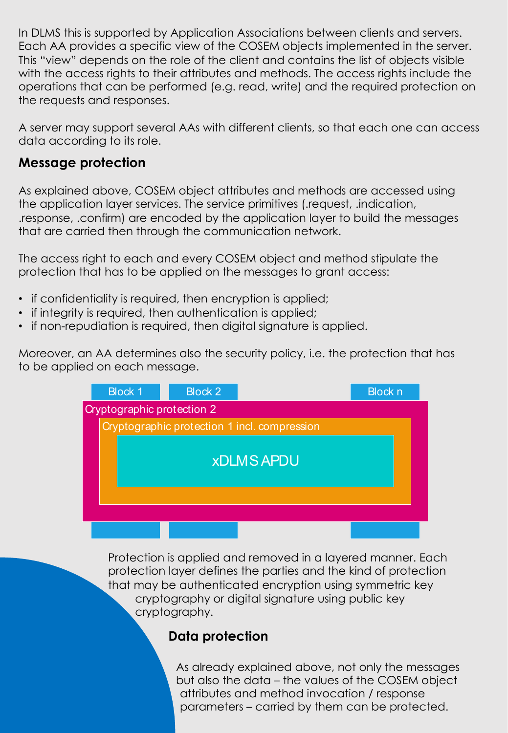In DLMS this is supported by Application Associations between clients and servers. Each AA provides a specific view of the COSEM objects implemented in the server. This "view" depends on the role of the client and contains the list of objects visible with the access rights to their attributes and methods. The access rights include the operations that can be performed (e.g. read, write) and the required protection on the requests and responses.

A server may support several AAs with different clients, so that each one can access data according to its role.

#### **Message protection**

As explained above, COSEM object attributes and methods are accessed using the application layer services. The service primitives (.request, .indication, .response, .confirm) are encoded by the application layer to build the messages that are carried then through the communication network.

The access right to each and every COSEM object and method stipulate the protection that has to be applied on the messages to grant access:

- if confidentiality is required, then encryption is applied;
- if integrity is required, then authentication is applied;
- if non-repudiation is required, then digital signature is applied.

**On the COSEM objet model level On the DLMS application layer messaging level** to be applied on each message. Moreover, an AA determines also the security policy, i.e. the protection that has

| <b>Block 1</b>             | <b>Block 2</b> |                                              | <b>Block n</b> |
|----------------------------|----------------|----------------------------------------------|----------------|
| Cryptographic protection 2 |                |                                              |                |
|                            |                | Cryptographic protection 1 incl. compression |                |
|                            |                | <b>xDLMS APDU</b>                            |                |
|                            |                |                                              |                |
|                            |                |                                              |                |
|                            |                |                                              |                |

Protection is applied and removed in a layered manner. Each protection layer defines the parties and the kind of protection that may be authenticated encryption using symmetric key cryptography or digital signature using public key cryptography.

#### **Data protection**

attributes and method invocation / response parameters – carried by them can be protected. As already explained above, not only the messages but also the data – the values of the COSEM object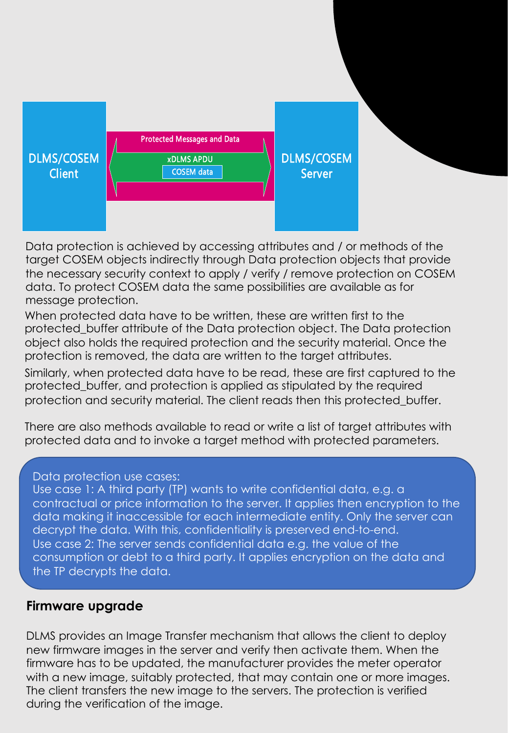

Data protection is achieved by accessing attributes and / or methods of the target COSEM objects indirectly through Data protection objects that provide the necessary security context to apply / verify / remove protection on COSEM data. To protect COSEM data the same possibilities are available as for message protection.

When protected data have to be written, these are written first to the protected\_buffer attribute of the Data protection object. The Data protection object also holds the required protection and the security material. Once the protection is removed, the data are written to the target attributes.

**On the Constitution of the Constitution** is the DLMS and the DLMS and coolisity moderate the DLMS and the DLMS and the DLMS and the DLMS and the DLMS and the DLMS and the DLMS and the DLMS and the DLMS and the DLMS and th **Separation of data and metadata** protection and security material. The client reads then this protected\_buffer. Similarly, when protected data have to be read, these are first captured to the protected\_buffer, and protection is applied as stipulated by the required

**Aggregation of data** Aggregation of services There are also methods available to read or write a list of target attributes with protected data and to invoke a target method with protected parameters. **Compact array encoding** Push operation

#### Data protection use cases:

Use case 1: A third party (TP) wants to write confidential data, e.g. a contractual or price information to the server. It applies then encryption to the data making it inaccessible for each intermediate entity. Only the server can decrypt the data. With this, confidentiality is preserved end-to-end. Use case 2: The server sends confidential data e.g. the value of the consumption or debt to a third party. It applies encryption on the data and the TP decrypts the data.

#### **Firmware upgrade**

DLMS provides an Image Transfer mechanism that allows the client to deploy new firmware images in the server and verify then activate them. When the firmware has to be updated, the manufacturer provides the meter operator with a new image, suitably protected, that may contain one or more images. The client transfers the new image to the servers. The protection is verified during the verification of the image.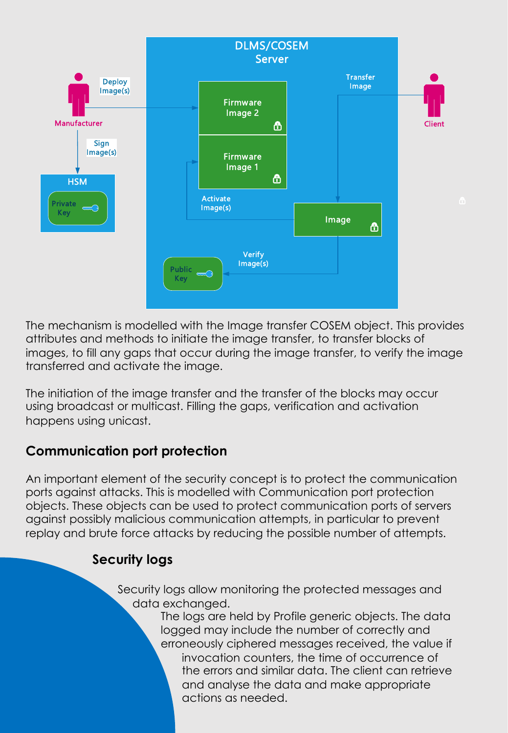

**On the COSEM objet model level On the DLMS application layer messaging level** transferred and activate the image. The mechanism is modelled with the Image transfer COSEM object. This provides attributes and methods to initiate the image transfer, to transfer blocks of images, to fill any gaps that occur during the image transfer, to verify the image

The initiation of the image transfer and the transfer of the blocks may occur using broadcast or multicast. Filling the gaps, verification and activation **Number of Pressions** Pression Pression **Press Compact array encoding** Push operation happens using unicast.

#### **Communication port protection**

An important element of the security concept is to protect the communication ports against attacks. This is modelled with Communication port protection objects. These objects can be used to protect communication ports of servers against possibly malicious communication attempts, in particular to prevent replay and brute force attacks by reducing the possible number of attempts.

#### **Security logs**

Security logs allow monitoring the protected messages and data exchanged.

The logs are held by Profile generic objects. The data logged may include the number of correctly and erroneously ciphered messages received, the value if invocation counters, the time of occurrence of the errors and similar data. The client can retrieve and analyse the data and make appropriate actions as needed.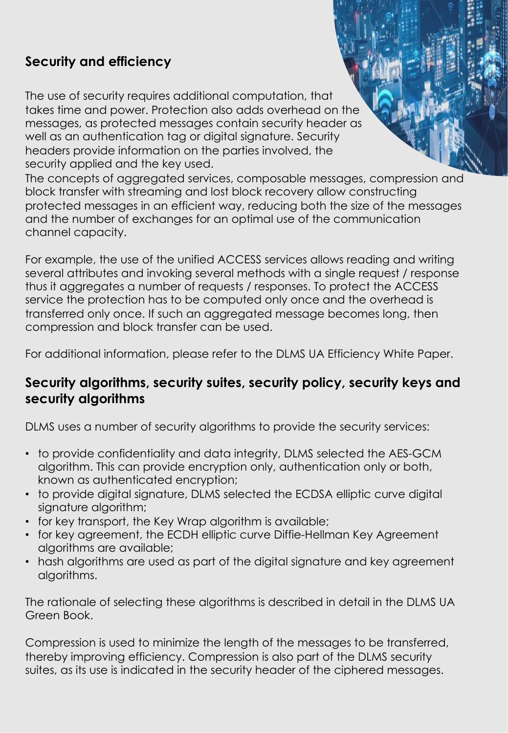### **Security and efficiency**

The use of security requires additional computation, that takes time and power. Protection also adds overhead on the messages, as protected messages contain security header as well as an authentication tag or digital signature. Security headers provide information on the parties involved, the security applied and the key used.

The concepts of aggregated services, composable messages, compression and block transfer with streaming and lost block recovery allow constructing protected messages in an efficient way, reducing both the size of the messages and the number of exchanges for an optimal use of the communication channel capacity.

For example, the use of the unified ACCESS services allows reading and writing several attributes and invoking several methods with a single request / response thus it aggregates a number of requests / responses. To protect the ACCESS service the protection has to be computed only once and the overhead is transferred only once. If such an aggregated message becomes long, then compression and block transfer can be used.

For additional information, please refer to the DLMS UA Efficiency White Paper.

#### **Security algorithms, security suites, security policy, security keys and security algorithms**

DLMS uses a number of security algorithms to provide the security services:

- to provide confidentiality and data integrity, DLMS selected the AES-GCM algorithm. This can provide encryption only, authentication only or both, **Null-data compression** Pre-established and persistent Application Associations known as authenticated encryption;
- **Compact array encoding** Push operation • to provide digital signature, DLMS selected the ECDSA elliptic curve digital signature algorithm;
- for key transport, the Key Wrap algorithm is available;
- for key agreement, the ECDH elliptic curve Diffie-Hellman Key Agreement algorithms are available;
- hash algorithms are used as part of the digital signature and key agreement algorithms.

The rationale of selecting these algorithms is described in detail in the DLMS UA Green Book.

Compression is used to minimize the length of the messages to be transferred, thereby improving efficiency. Compression is also part of the DLMS security suites, as its use is indicated in the security header of the ciphered messages.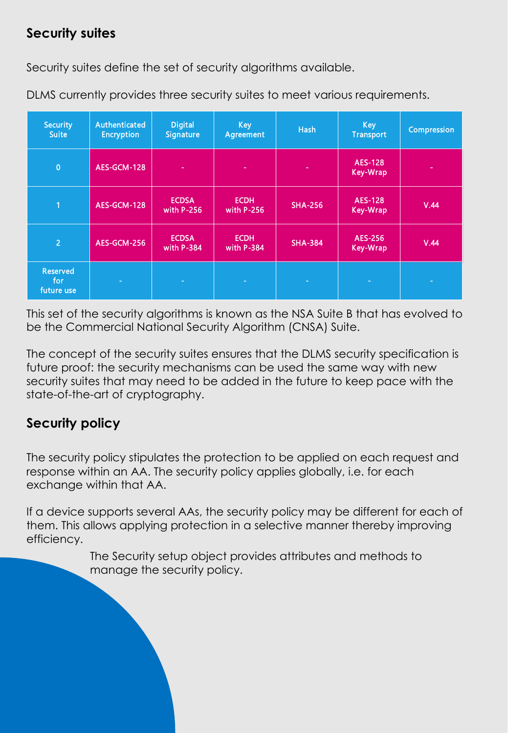### **Security suites**

Security suites define the set of security algorithms available.

| <b>Security</b><br><b>Suite</b>      | Authenticated<br><b>Encryption</b> | <b>Digital</b><br><b>Signature</b> | <b>Key</b><br><b>Agreement</b> | <b>Hash</b>    | <b>Key</b><br><b>Transport</b> | Compression |
|--------------------------------------|------------------------------------|------------------------------------|--------------------------------|----------------|--------------------------------|-------------|
| $\overline{0}$                       | AES-GCM-128                        | ٠                                  | ٠                              | ٠              | AES-128<br>Key-Wrap            |             |
| 1                                    | AES-GCM-128                        | <b>ECDSA</b><br>with $P-256$       | <b>ECDH</b><br>with $P-256$    | <b>SHA-256</b> | AES-128<br>Key-Wrap            | V.44        |
| $\overline{2}$                       | AES-GCM-256                        | <b>ECDSA</b><br>with P-384         | <b>ECDH</b><br>with P-384      | <b>SHA-384</b> | AES-256<br>Key-Wrap            | V.44        |
| <b>Reserved</b><br>for<br>future use | ٠                                  | $\overline{\phantom{a}}$           | $\sim$                         | ×.             | $\overline{\phantom{a}}$       | -           |

DLMS currently provides three security suites to meet various requirements.

This set of the security algorithms is known as the NSA Suite B that has evolved to be the Commercial National Security Algorithm (CNSA) Suite.

future proof: the security mechanisms can be used the same way with new security suites that may need to be added in the future to keep pace with the **Aggregation of data** Aggregation of services state-of-the-art of cryptography. The concept of the security suites ensures that the DLMS security specification is

#### **Null-data compression** Pre-established and persistent Application Associations **Compact array encoding** Push operation **Security policy**

The security policy stipulates the protection to be applied on each request and response within an AA. The security policy applies globally, i.e. for each exchange within that AA.

If a device supports several AAs, the security policy may be different for each of them. This allows applying protection in a selective manner thereby improving efficiency.

> The Security setup object provides attributes and methods to manage the security policy.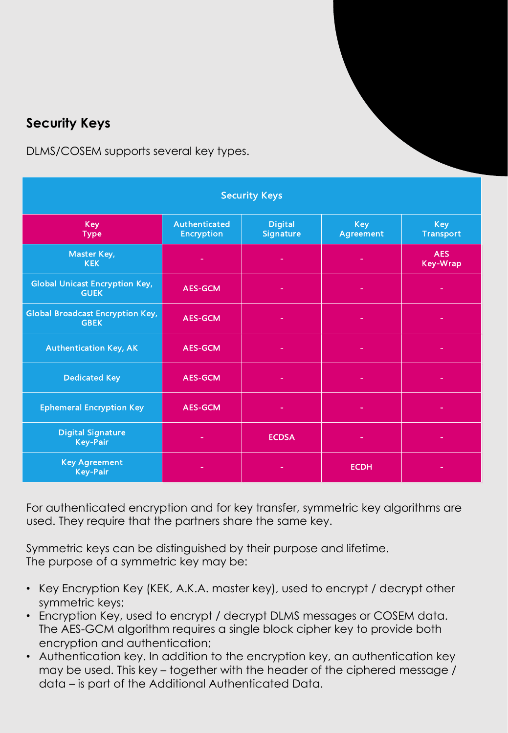## **Security Keys**

DLMS/COSEM supports several key types.

| <b>Security Keys</b>                                   |                                    |                                    |                         |                                |  |  |  |  |
|--------------------------------------------------------|------------------------------------|------------------------------------|-------------------------|--------------------------------|--|--|--|--|
| <b>Key</b><br><b>Type</b>                              | Authenticated<br><b>Encryption</b> | <b>Digital</b><br><b>Signature</b> | <b>Key</b><br>Agreement | <b>Key</b><br><b>Transport</b> |  |  |  |  |
| Master Key,<br><b>KEK</b>                              | ٠                                  |                                    |                         | <b>AES</b><br><b>Key-Wrap</b>  |  |  |  |  |
| <b>Global Unicast Encryption Key,</b><br><b>GUEK</b>   | <b>AES-GCM</b>                     |                                    |                         |                                |  |  |  |  |
| <b>Global Broadcast Encryption Key,</b><br><b>GBEK</b> | <b>AES-GCM</b>                     |                                    |                         |                                |  |  |  |  |
| <b>Authentication Key, AK</b>                          | <b>AES-GCM</b>                     |                                    |                         |                                |  |  |  |  |
| <b>Dedicated Key</b>                                   | <b>AES-GCM</b>                     |                                    |                         |                                |  |  |  |  |
| <b>Ephemeral Encryption Key</b>                        | <b>AES-GCM</b>                     | ۰                                  |                         |                                |  |  |  |  |
| <b>Digital Signature</b><br><b>Key-Pair</b>            |                                    | <b>ECDSA</b>                       |                         |                                |  |  |  |  |
| <b>Key Agreement</b><br><b>Key-Pair</b>                |                                    |                                    | <b>ECDH</b>             |                                |  |  |  |  |

For authenticated encryption and for key transfer, symmetric key algorithms are used. They require that the partners share the same key.

Symmetric keys can be distinguished by their purpose and lifetime. The purpose of a symmetric key may be:

- Key Encryption Key (KEK, A.K.A. master key), used to encrypt / decrypt other symmetric keys;
- Encryption Key, used to encrypt / decrypt DLMS messages or COSEM data. The AES-GCM algorithm requires a single block cipher key to provide both encryption and authentication;
- Authentication key. In addition to the encryption key, an authentication key may be used. This key – together with the header of the ciphered message / data – is part of the Additional Authenticated Data.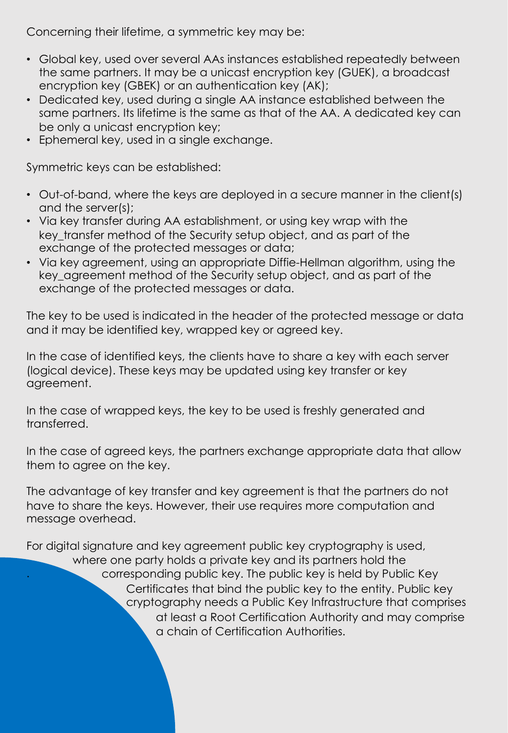Concerning their lifetime, a symmetric key may be:

- Global key, used over several AAs instances established repeatedly between the same partners. It may be a unicast encryption key (GUEK), a broadcast encryption key (GBEK) or an authentication key (AK);
- Dedicated key, used during a single AA instance established between the same partners. Its lifetime is the same as that of the AA. A dedicated key can be only a unicast encryption key;
- Ephemeral key, used in a single exchange.

Symmetric keys can be established:

- Out-of-band, where the keys are deployed in a secure manner in the client(s) and the server(s);
- Via key transfer during AA establishment, or using key wrap with the key transfer method of the Security setup object, and as part of the exchange of the protected messages or data;
- Via key agreement, using an appropriate Diffie-Hellman algorithm, using the key agreement method of the Security setup object, and as part of the exchange of the protected messages or data.

The key to be used is indicated in the header of the protected message or data and it may be identified key, wrapped key or agreed key.

**On the COSEM objet model level On the DLMS application layer messaging level** (logical device). These keys may be updated using key transfer or key **Separation of data and metadata** agreement. In the case of identified keys, the clients have to share a key with each server

**Selective access** Composable messages In the case of wrapped keys, the key to be used is freshly generated and **Compact array encoding** Push operation transferred.

In the case of agreed keys, the partners exchange appropriate data that allow them to agree on the key.

The advantage of key transfer and key agreement is that the partners do not have to share the keys. However, their use requires more computation and message overhead.

For digital signature and key agreement public key cryptography is used, . where one party holds a private key and its partners hold the corresponding public key. The public key is held by Public Key Certificates that bind the public key to the entity. Public key cryptography needs a Public Key Infrastructure that comprises at least a Root Certification Authority and may comprise a chain of Certification Authorities.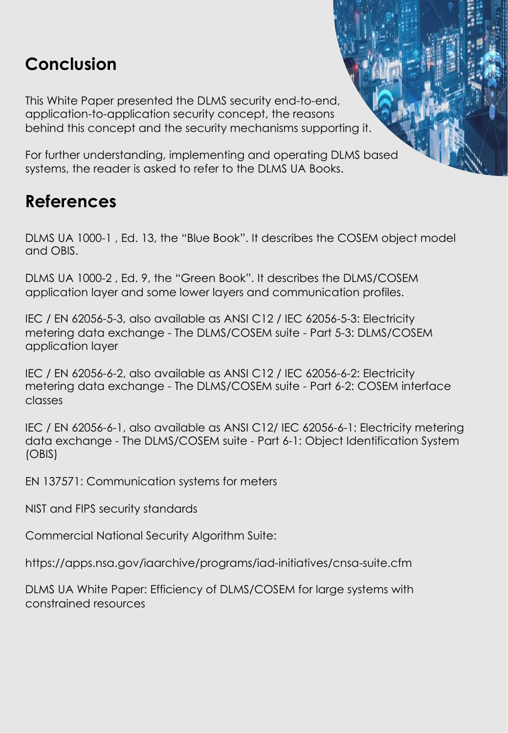# **Conclusion**

This White Paper presented the DLMS security end-to-end, application-to-application security concept, the reasons behind this concept and the security mechanisms supporting it.

For further understanding, implementing and operating DLMS based systems, the reader is asked to refer to the DLMS UA Books.

## **References**

DLMS UA 1000-1 , Ed. 13, the "Blue Book". It describes the COSEM object model and OBIS.

DLMS UA 1000-2 , Ed. 9, the "Green Book". It describes the DLMS/COSEM application layer and some lower layers and communication profiles.

IEC / EN 62056-5-3, also available as ANSI C12 / IEC 62056-5-3: Electricity metering data exchange - The DLMS/COSEM suite - Part 5-3: DLMS/COSEM application layer

IEC / EN 62056-6-2, also available as ANSI C12 / IEC 62056-6-2: Electricity metering data exchange - The DLMS/COSEM suite - Part 6-2: COSEM interface classes

IEC / EN 62056-6-1, also available as ANSI C12/ IEC 62056-6-1: Electricity metering **Separation of data and metadata** data exchange - The DLMS/COSEM suite - Part 6-1: Object Identification System **Aggregation of data** Aggregation of services (OBIS)

**Null-data compression** Pre-established and persistent Application Associations EN 137571: Communication systems for meters

NIST and FIPS security standards

Commercial National Security Algorithm Suite:

https://apps.nsa.gov/iaarchive/programs/iad-initiatives/cnsa-suite.cfm

DLMS UA White Paper: Efficiency of DLMS/COSEM for large systems with constrained resources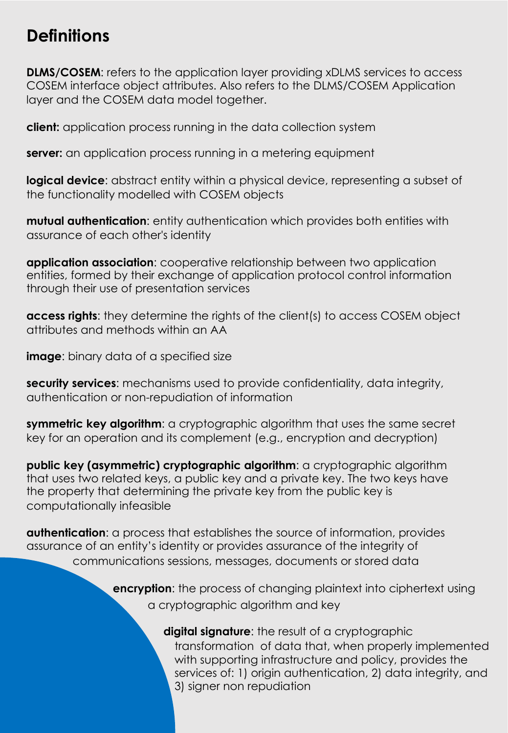## **Definitions**

**DLMS/COSEM**: refers to the application layer providing xDLMS services to access COSEM interface object attributes. Also refers to the DLMS/COSEM Application layer and the COSEM data model together.

**client:** application process running in the data collection system

**server:** an application process running in a metering equipment

**logical device**: abstract entity within a physical device, representing a subset of the functionality modelled with COSEM objects

**mutual authentication**: entity authentication which provides both entities with assurance of each other's identity

**application association**: cooperative relationship between two application entities, formed by their exchange of application protocol control information through their use of presentation services

**access rights**: they determine the rights of the client(s) to access COSEM object attributes and methods within an AA

**image**: binary data of a specified size

**security services**: mechanisms used to provide confidentiality, data integrity, thentication or non-repudiation of information authentication or non-repudiation of information

**Null-data compression** Pre-established and persistent Application Associations  $symmetric$  key algorithm: a cryptographic algorithm that uses the same secret key for an operation and its complement (e.g., encryption and decryption)

**public key (asymmetric) cryptographic algorithm**: a cryptographic algorithm that uses two related keys, a public key and a private key. The two keys have the property that determining the private key from the public key is computationally infeasible

**authentication**: a process that establishes the source of information, provides assurance of an entity's identity or provides assurance of the integrity of communications sessions, messages, documents or stored data

> **encryption**: the process of changing plaintext into ciphertext using a cryptographic algorithm and key

> > **digital signature**: the result of a cryptographic transformation of data that, when properly implemented with supporting infrastructure and policy, provides the services of: 1) origin authentication, 2) data integrity, and 3) signer non repudiation